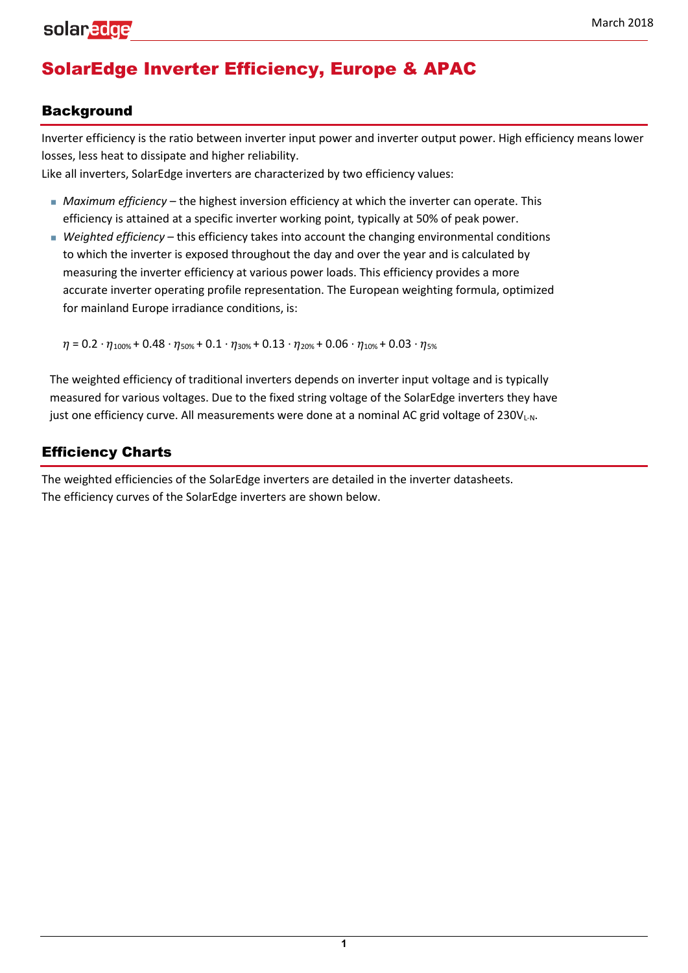# SolarEdge Inverter Efficiency, Europe & APAC

#### Background

Inverter efficiency is the ratio between inverter input power and inverter output power. High efficiency means lower losses, less heat to dissipate and higher reliability.

Like all inverters, SolarEdge inverters are characterized by two efficiency values:

- *Maximum efficiency*  the highest inversion efficiency at which the inverter can operate. This efficiency is attained at a specific inverter working point, typically at 50% of peak power.
- *Weighted efficiency*  this efficiency takes into account the changing environmental conditions to which the inverter is exposed throughout the day and over the year and is calculated by measuring the inverter efficiency at various power loads. This efficiency provides a more accurate inverter operating profile representation. The European weighting formula, optimized for mainland Europe irradiance conditions, is:

 $\eta = 0.2 \cdot \eta_{100\%} + 0.48 \cdot \eta_{50\%} + 0.1 \cdot \eta_{30\%} + 0.13 \cdot \eta_{20\%} + 0.06 \cdot \eta_{10\%} + 0.03 \cdot \eta_{5\%}$ 

The weighted efficiency of traditional inverters depends on inverter input voltage and is typically measured for various voltages. Due to the fixed string voltage of the SolarEdge inverters they have just one efficiency curve. All measurements were done at a nominal AC grid voltage of 230VL-N.

### Efficiency Charts

The weighted efficiencies of the SolarEdge inverters are detailed in the inverter datasheets. The efficiency curves of the SolarEdge inverters are shown below.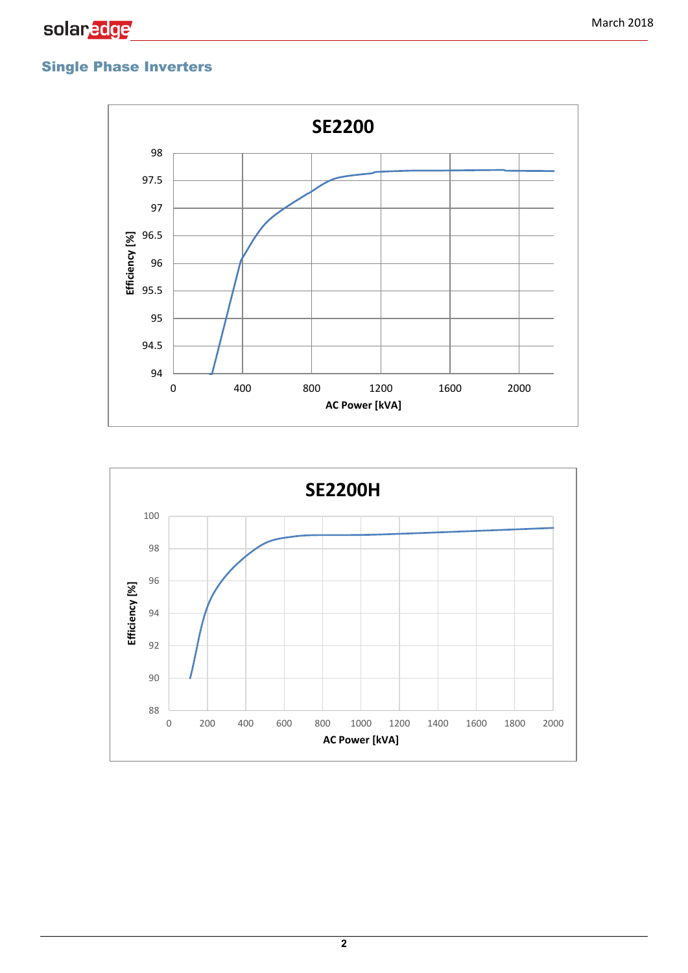## Single Phase Inverters



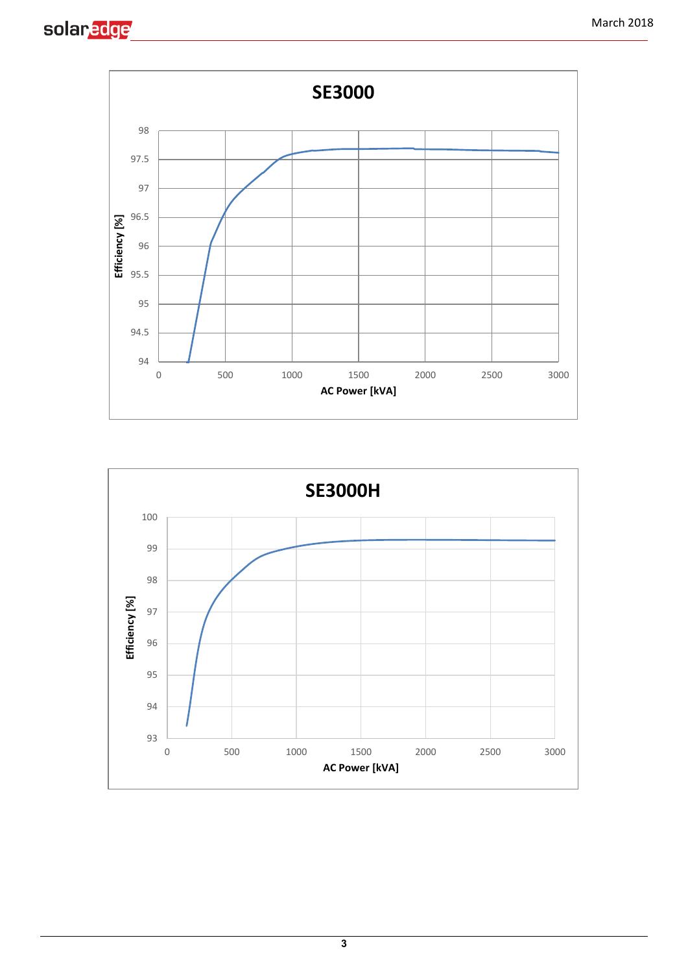





**3**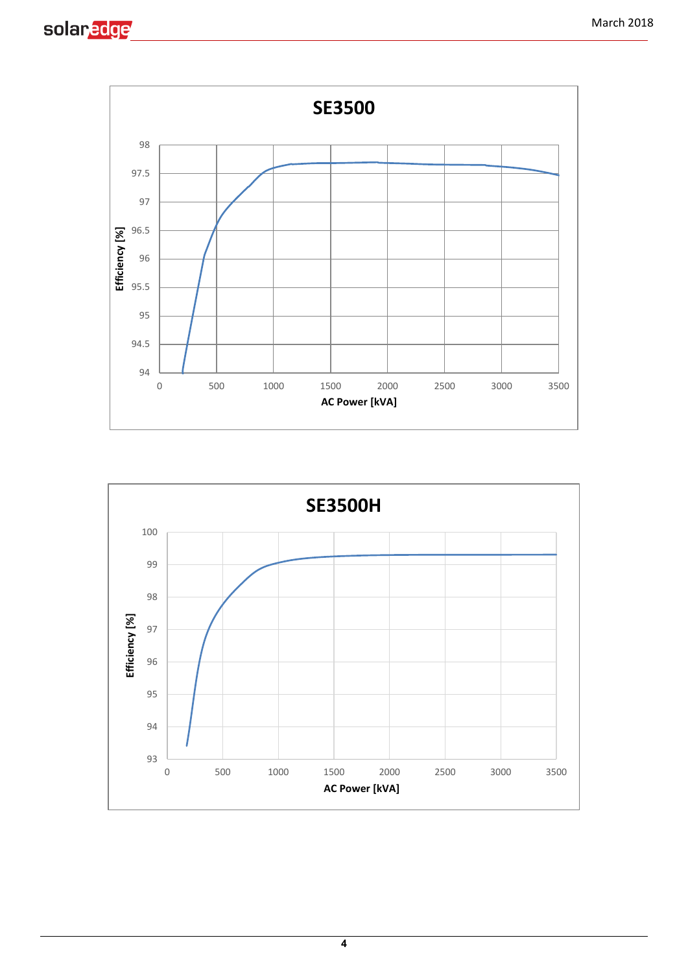

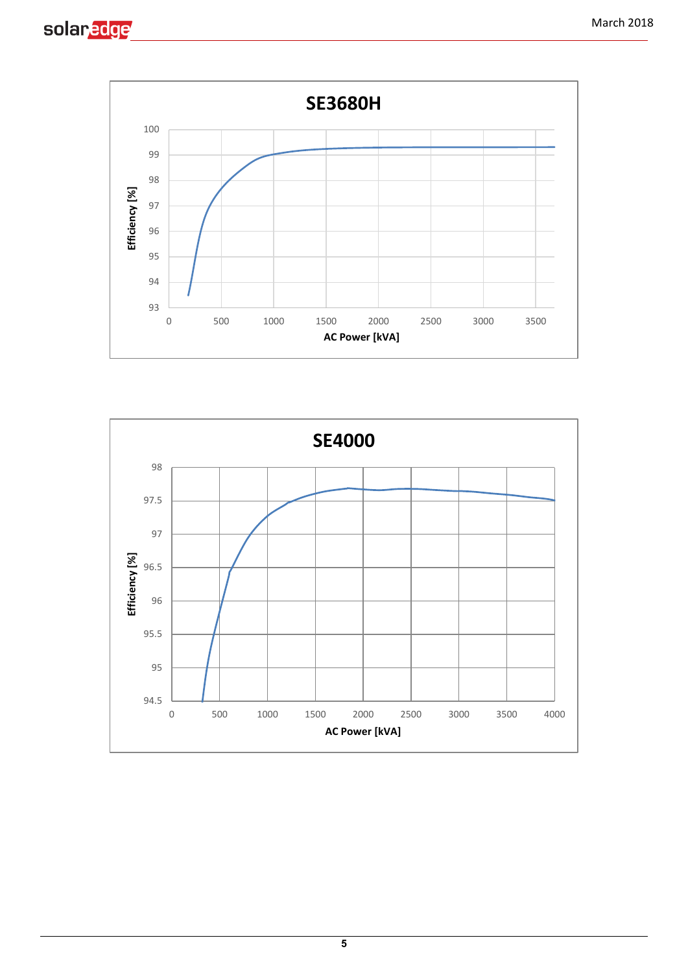



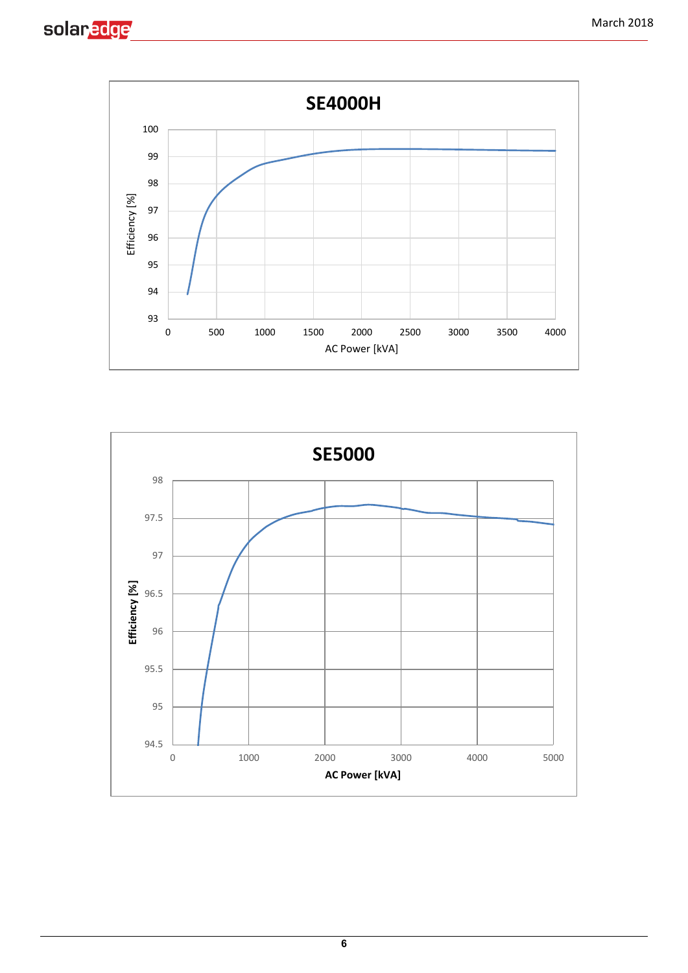



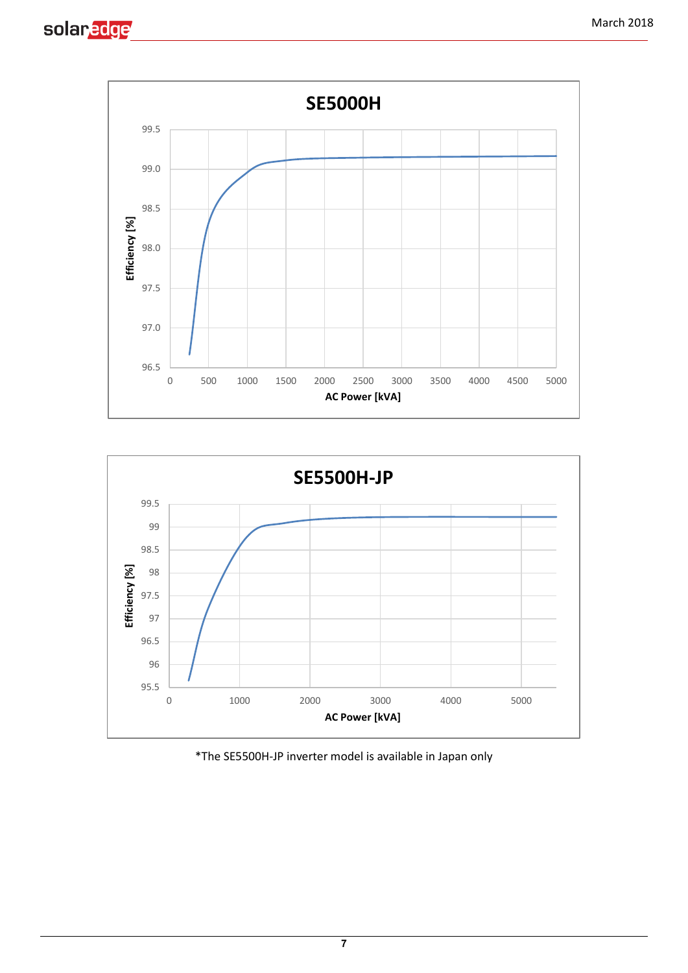





\*The SE5500H-JP inverter model is available in Japan only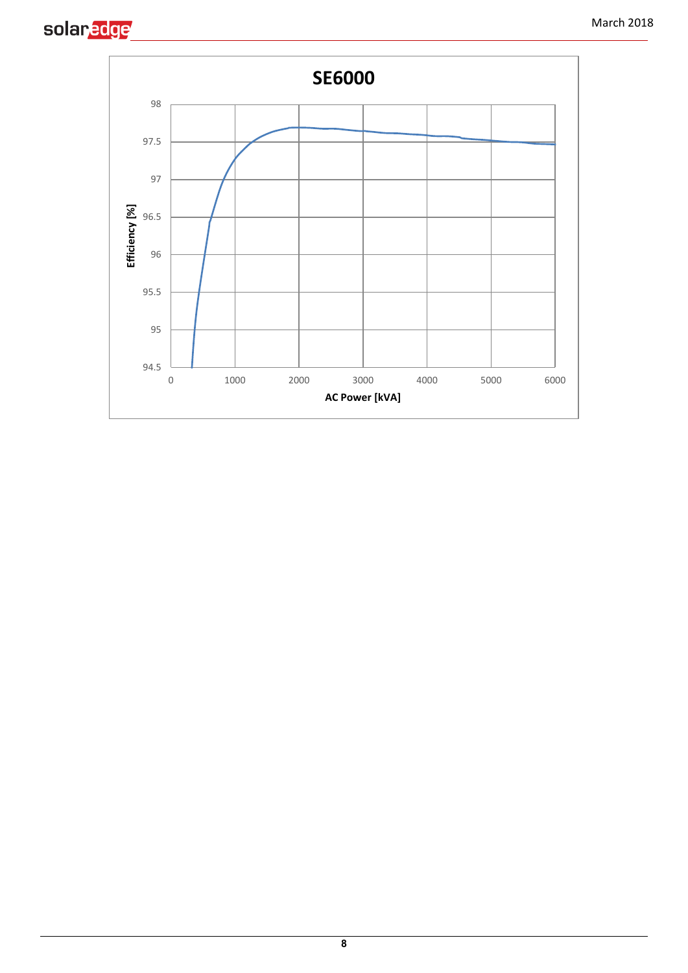

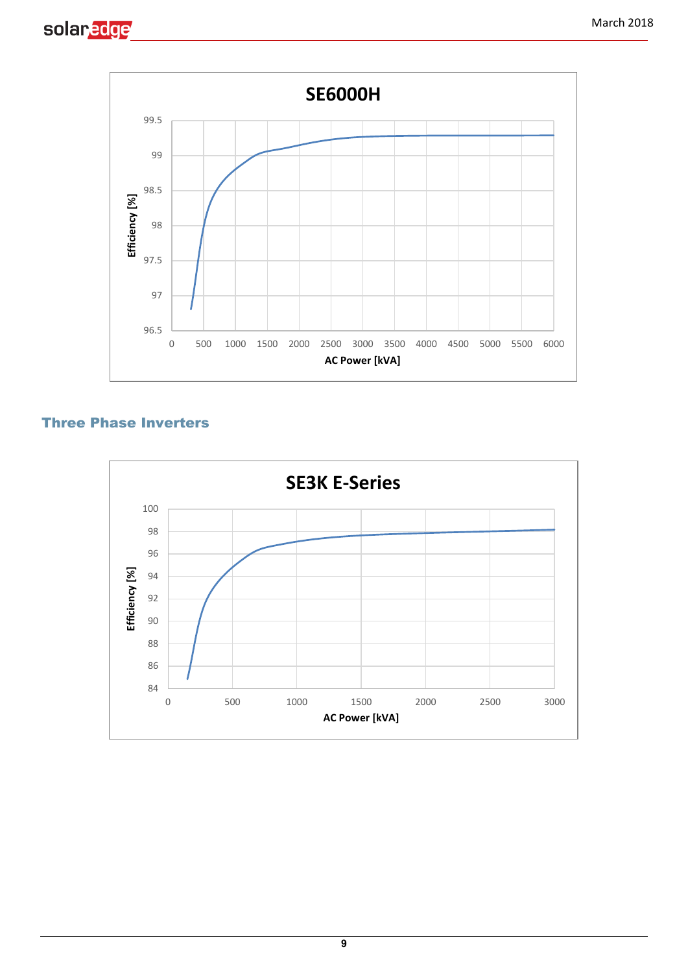



#### Three Phase Inverters

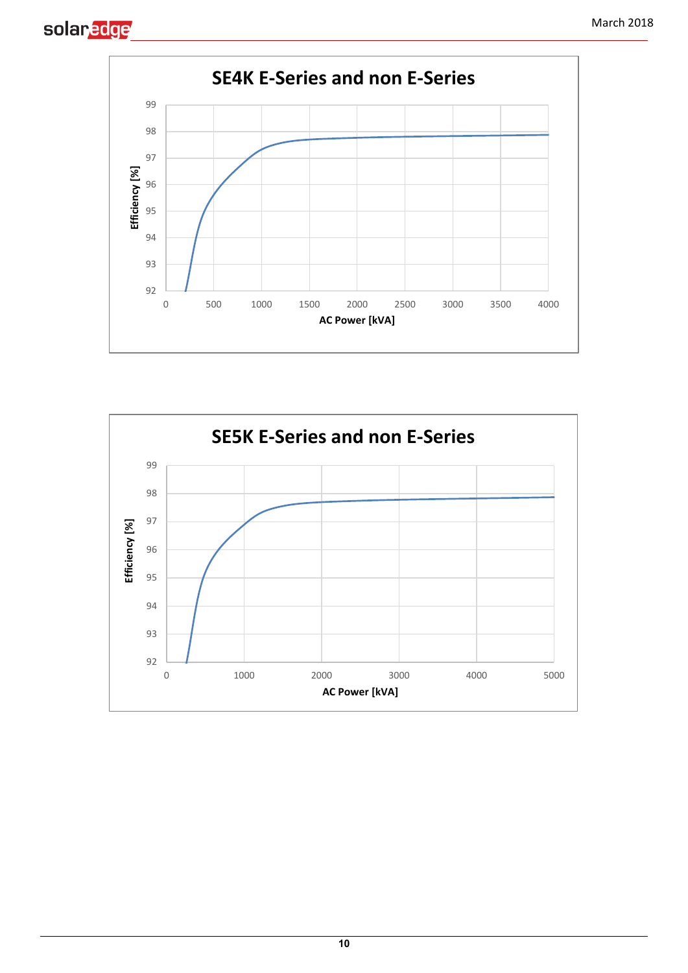



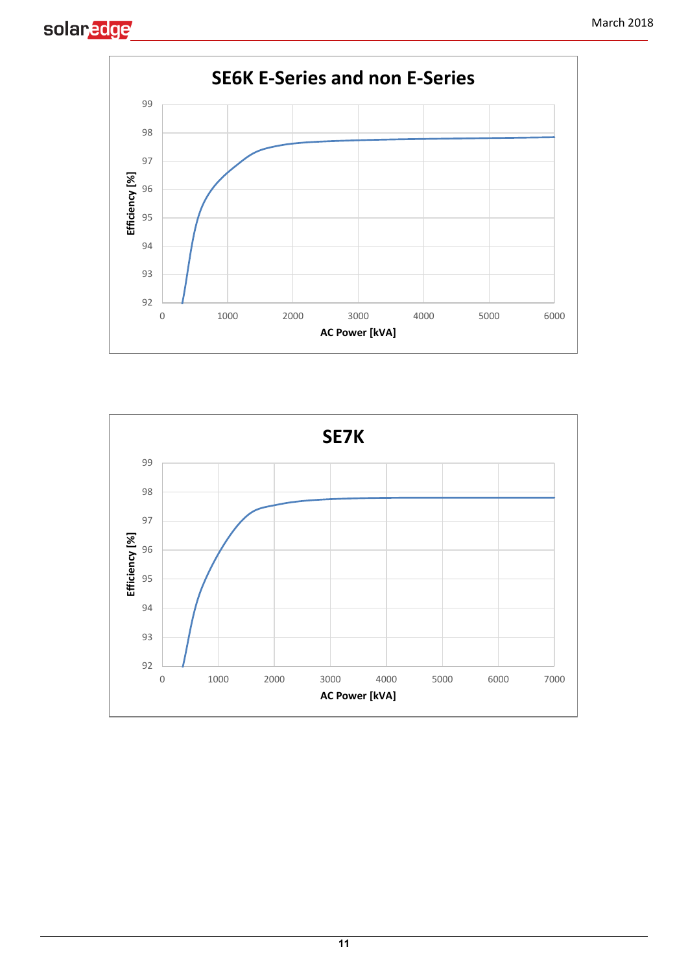



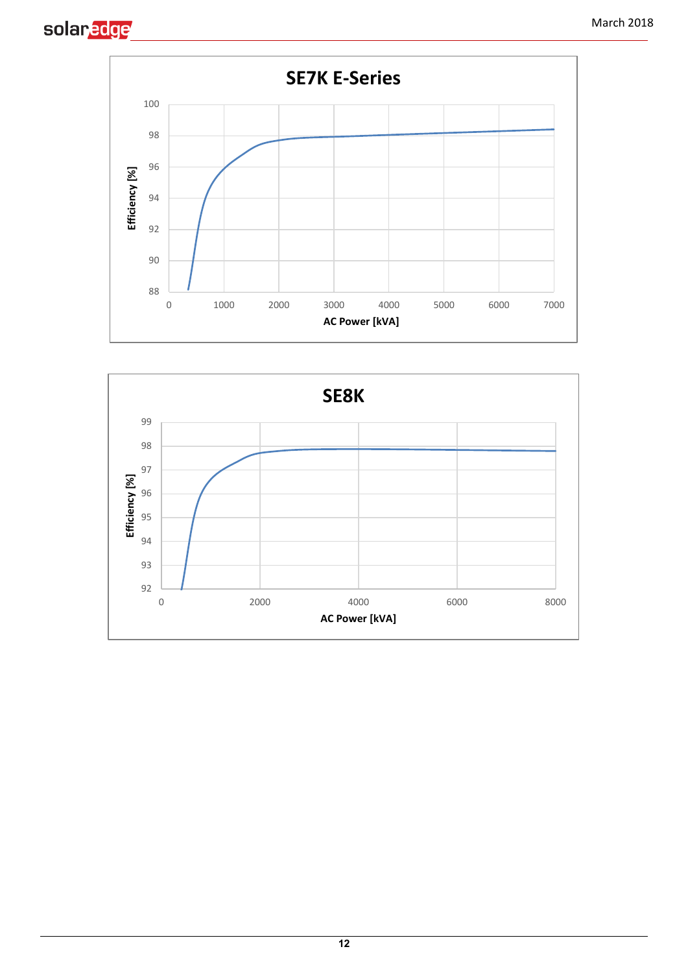



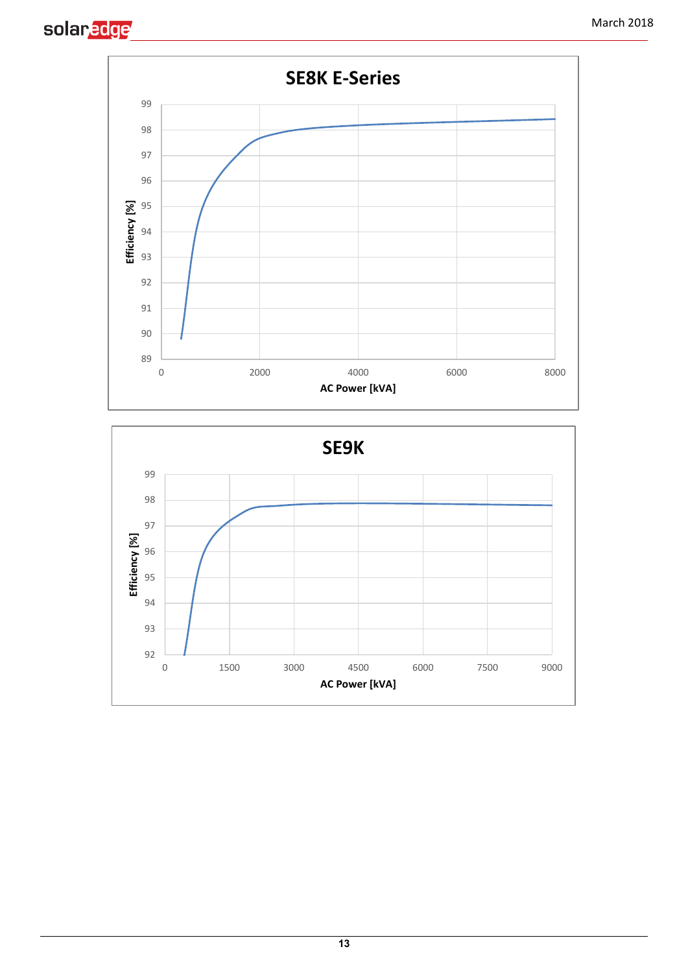



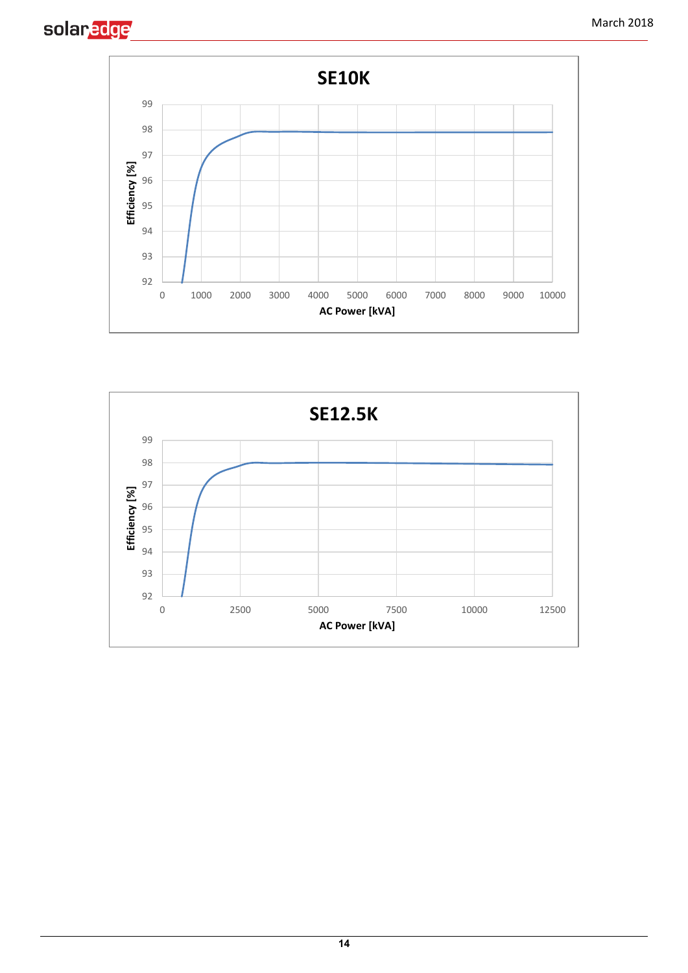



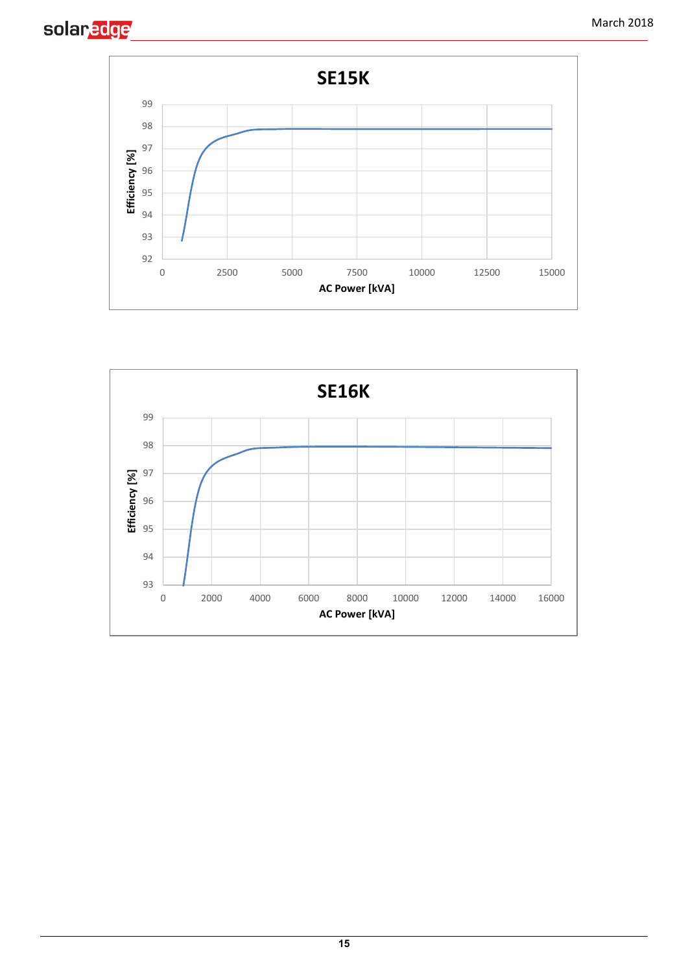



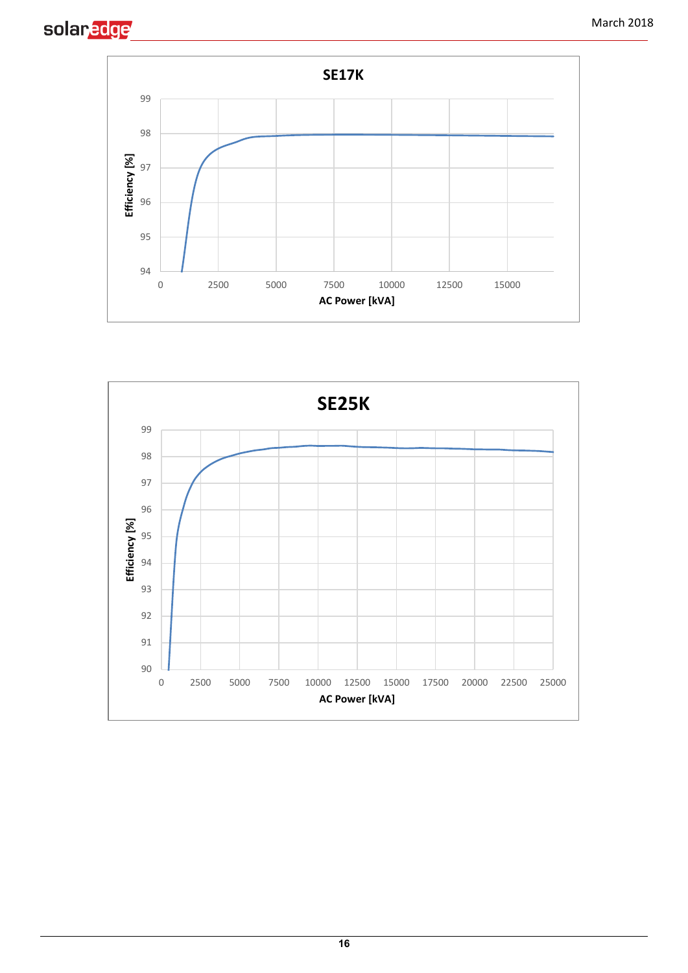



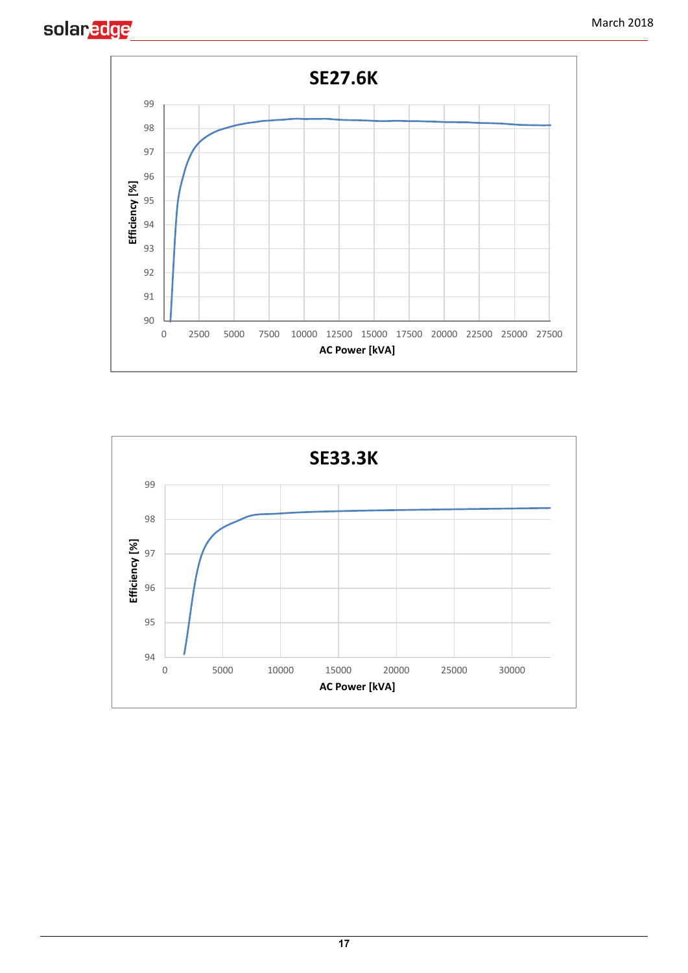



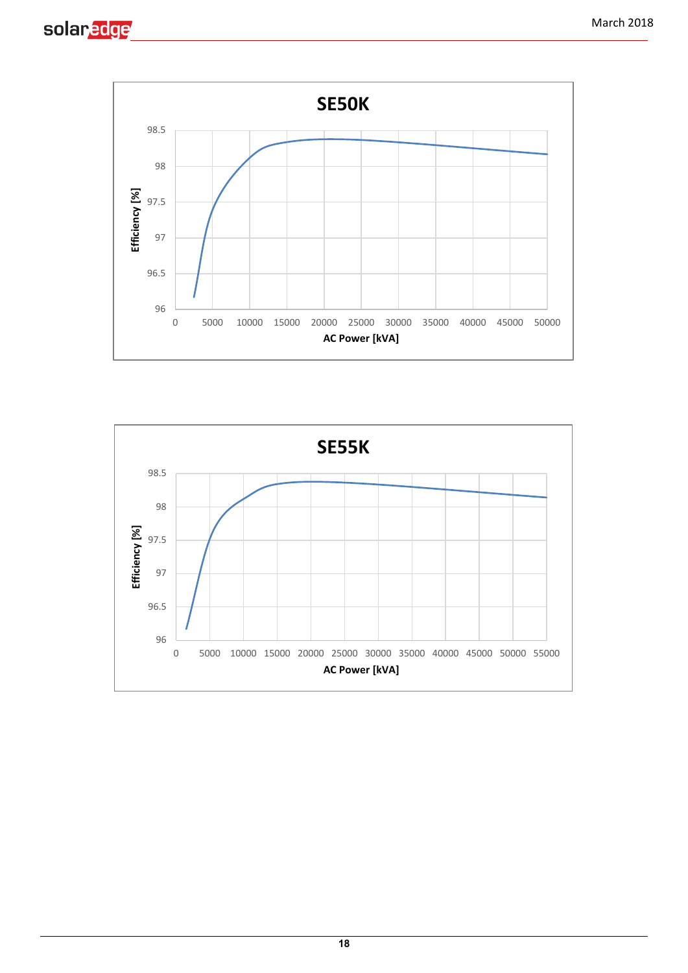



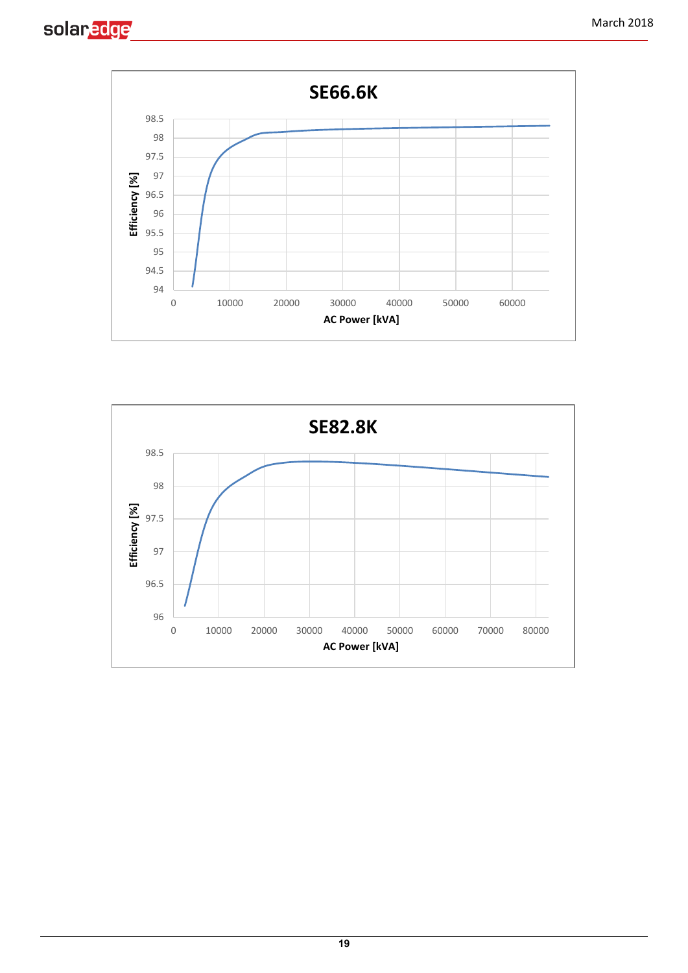